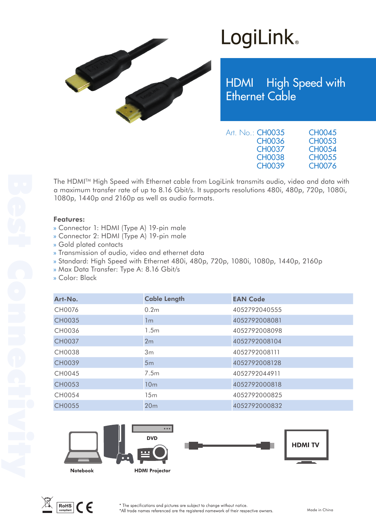

## LogiLink<sup>®</sup>

HDMI High Speed with Ethernet Cable

| Art. No.: <b>CH0035</b> | <b>CH0045</b> |
|-------------------------|---------------|
| <b>CH0036</b>           | <b>CH0053</b> |
| <b>CH0037</b>           | <b>CH0054</b> |
| <b>CH0038</b>           | <b>CH0055</b> |
| <b>CH0039</b>           | <b>CH0076</b> |

The HDMITM High Speed with Ethernet cable from LogiLink transmits audio, video and data with a maximum transfer rate of up to 8.16 Gbit/s. It supports resolutions 480i, 480p, 720p, 1080i, 1080p, 1440p and 2160p as well as audio formats.

#### Features:

- » Connector 1: HDMI (Type A) 19-pin male
- » Connector 2: HDMI (Type A) 19-pin male
- » Gold plated contacts
- » Transmission of audio, video and ethernet data
- » Standard: High Speed with Ethernet 480i, 480p, 720p, 1080i, 1080p, 1440p, 2160p
- » Max Data Transfer: Type A: 8.16 Gbit/s
- » Color: Black

| Art-No.       | <b>Cable Length</b> | <b>EAN Code</b> |  |
|---------------|---------------------|-----------------|--|
| CH0076        | 0.2 <sub>m</sub>    | 4052792040555   |  |
| <b>CH0035</b> | 1m                  | 4052792008081   |  |
| CH0036        | 1.5 <sub>m</sub>    | 4052792008098   |  |
| <b>CH0037</b> | 2m                  | 4052792008104   |  |
| <b>CH0038</b> | 3m                  | 4052792008111   |  |
| <b>CH0039</b> | 5m                  | 4052792008128   |  |
| CH0045        | 7.5m                | 4052792044911   |  |
| <b>CH0053</b> | 10 <sub>m</sub>     | 4052792000818   |  |
| CH0054        | 15m                 | 4052792000825   |  |
| <b>CH0055</b> | 20 <sub>m</sub>     | 4052792000832   |  |





\* The specifications and pictures are subject to change without notice. \*All trade names referenced are the registered namework of their respective owners.